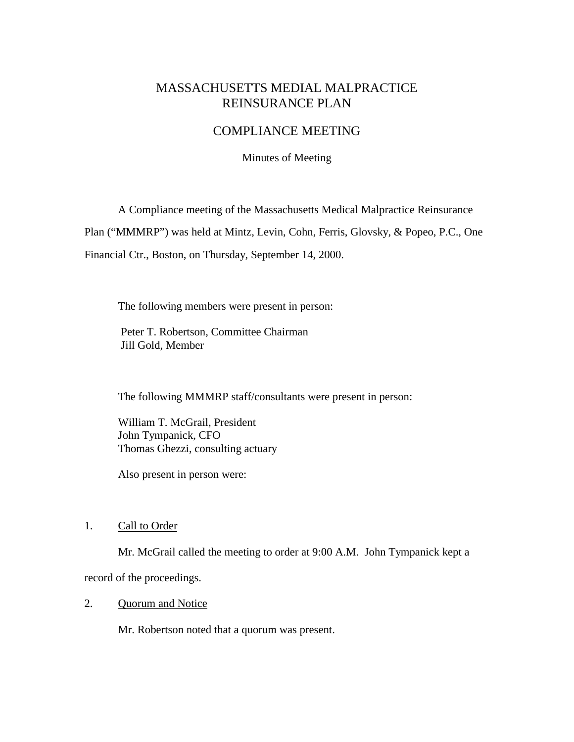# MASSACHUSETTS MEDIAL MALPRACTICE REINSURANCE PLAN

# COMPLIANCE MEETING

Minutes of Meeting

A Compliance meeting of the Massachusetts Medical Malpractice Reinsurance

Plan ("MMMRP") was held at Mintz, Levin, Cohn, Ferris, Glovsky, & Popeo, P.C., One

Financial Ctr., Boston, on Thursday, September 14, 2000.

The following members were present in person:

 Peter T. Robertson, Committee Chairman Jill Gold, Member

The following MMMRP staff/consultants were present in person:

 William T. McGrail, President John Tympanick, CFO Thomas Ghezzi, consulting actuary

Also present in person were:

#### 1. Call to Order

Mr. McGrail called the meeting to order at 9:00 A.M. John Tympanick kept a

record of the proceedings.

# 2. Quorum and Notice

Mr. Robertson noted that a quorum was present.